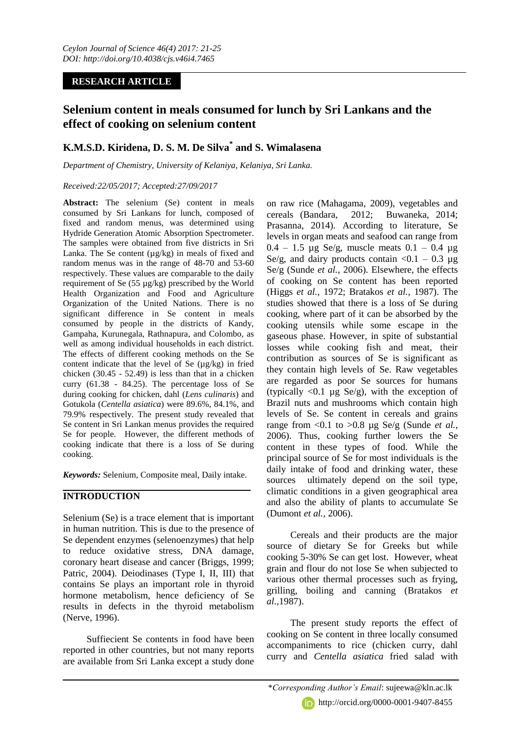### **RESEARCH ARTICLE**

# **Selenium content in meals consumed for lunch by Sri Lankans and the effect of cooking on selenium content**

## **K.M.S.D. Kiridena, D. S. M. De Silva\* and S. Wimalasena**

*Department of Chemistry, University of Kelaniya, Kelaniya, Sri Lanka.*

#### *Received:22/05/2017; Accepted:27/09/2017*

**Abstract:** The selenium (Se) content in meals consumed by Sri Lankans for lunch, composed of fixed and random menus, was determined using Hydride Generation Atomic Absorption Spectrometer. The samples were obtained from five districts in Sri Lanka. The Se content ( $\mu$ g/kg) in meals of fixed and random menus was in the range of 48-70 and 53-60 respectively. These values are comparable to the daily requirement of Se (55 µg/kg) prescribed by the World Health Organization and Food and Agriculture Organization of the United Nations. There is no significant difference in Se content in meals consumed by people in the districts of Kandy, Gampaha, Kurunegala, Rathnapura, and Colombo, as well as among individual households in each district. The effects of different cooking methods on the Se content indicate that the level of Se  $(\mu g/kg)$  in fried chicken (30.45 - 52.49) is less than that in a chicken curry (61.38 - 84.25). The percentage loss of Se during cooking for chicken, dahl (*Lens culinaris*) and Gotukola (*Centella asiatica*) were 89.6%, 84.1%, and 79.9% respectively. The present study revealed that Se content in Sri Lankan menus provides the required Se for people. However, the different methods of cooking indicate that there is a loss of Se during cooking.

*Keywords:* Selenium, Composite meal, Daily intake.

### **INTRODUCTION**

Selenium (Se) is a trace element that is important in human nutrition. This is due to the presence of Se dependent enzymes (selenoenzymes) that help to reduce oxidative stress, DNA damage, coronary heart disease and cancer (Briggs, 1999; Patric, 2004). Deiodinases (Type I, II, III) that contains Se plays an important role in thyroid hormone metabolism, hence deficiency of Se results in defects in the thyroid metabolism (Nerve, 1996).

Suffiecient Se contents in food have been reported in other countries, but not many reports are available from Sri Lanka except a study done

on raw rice (Mahagama, 2009), vegetables and cereals (Bandara, 2012; Buwaneka, 2014; Prasanna, 2014). According to literature, Se levels in organ meats and seafood can range from  $0.4 - 1.5$  ug Se/g, muscle meats  $0.1 - 0.4$  ug Se/g, and dairy products contain  $\langle 0.1 - 0.3 \rangle$  µg Se/g (Sunde *et al.,* 2006). Elsewhere, the effects of cooking on Se content has been reported (Higgs *et al.,* 1972; Bratakos *et al.,* 1987). The studies showed that there is a loss of Se during cooking, where part of it can be absorbed by the cooking utensils while some escape in the gaseous phase. However, in spite of substantial losses while cooking fish and meat, their contribution as sources of Se is significant as they contain high levels of Se. Raw vegetables are regarded as poor Se sources for humans (typically  $\langle 0.1 \rangle$  µg Se/g), with the exception of Brazil nuts and mushrooms which contain high levels of Se. Se content in cereals and grains range from <0.1 to >0.8 µg Se/g (Sunde *et al.,* 2006). Thus, cooking further lowers the Se content in these types of food. While the principal source of Se for most individuals is the daily intake of food and drinking water, these sources ultimately depend on the soil type, climatic conditions in a given geographical area and also the ability of plants to accumulate Se (Dumont *et al.,* 2006).

Cereals and their products are the major source of dietary Se for Greeks but while cooking 5-30% Se can get lost. However, wheat grain and flour do not lose Se when subjected to various other thermal processes such as frying, grilling, boiling and canning (Bratakos *et al.,*1987).

The present study reports the effect of cooking on Se content in three locally consumed accompaniments to rice (chicken curry, dahl curry and *Centella asiatica* fried salad with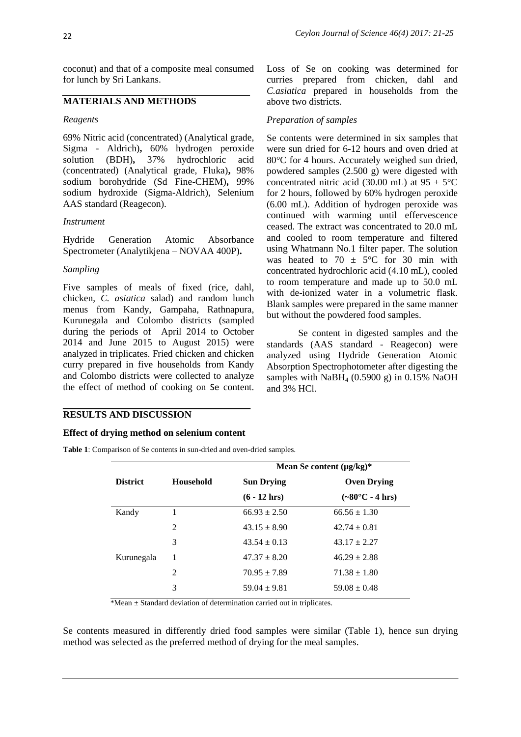coconut) and that of a composite meal consumed for lunch by Sri Lankans.

### **MATERIALS AND METHODS**

#### *Reagents*

69% Nitric acid (concentrated) (Analytical grade, Sigma - Aldrich)**,** 60% hydrogen peroxide solution (BDH)**,** 37% hydrochloric acid (concentrated) (Analytical grade, Fluka)**,** 98% sodium borohydride (Sd Fine-CHEM)**,** 99% sodium hydroxide (Sigma-Aldrich), Selenium AAS standard (Reagecon).

#### *Instrument*

Hydride Generation Atomic Absorbance Spectrometer (Analytikjena – NOVAA 400P)**.**

#### *Sampling*

Five samples of meals of fixed (rice, dahl, chicken, *C. asiatica* salad) and random lunch menus from Kandy, Gampaha, Rathnapura, Kurunegala and Colombo districts (sampled during the periods of April 2014 to October 2014 and June 2015 to August 2015) were analyzed in triplicates. Fried chicken and chicken curry prepared in five households from Kandy and Colombo districts were collected to analyze the effect of method of cooking on Se content.

Loss of Se on cooking was determined for curries prepared from chicken, dahl and *C.asiatica* prepared in households from the above two districts.

#### *Preparation of samples*

Se contents were determined in six samples that were sun dried for 6-12 hours and oven dried at 80°C for 4 hours. Accurately weighed sun dried, powdered samples (2.500 g) were digested with concentrated nitric acid (30.00 mL) at  $95 \pm 5^{\circ}$ C for 2 hours, followed by 60% hydrogen peroxide (6.00 mL). Addition of hydrogen peroxide was continued with warming until effervescence ceased. The extract was concentrated to 20.0 mL and cooled to room temperature and filtered using Whatmann No.1 filter paper. The solution was heated to 70  $\pm$  5°C for 30 min with concentrated hydrochloric acid (4.10 mL), cooled to room temperature and made up to 50.0 mL with de-ionized water in a volumetric flask. Blank samples were prepared in the same manner but without the powdered food samples.

Se content in digested samples and the standards (AAS standard - Reagecon) were analyzed using Hydride Generation Atomic Absorption Spectrophotometer after digesting the samples with  $N$ aBH<sub>4</sub> (0.5900 g) in 0.15% NaOH and 3% HCl.

#### **RESULTS AND DISCUSSION**

#### **Effect of drying method on selenium content**

**Table 1**: Comparison of Se contents in sun-dried and oven-dried samples.

|                 |                  | Mean Se content $(\mu g/kg)^*$ |                                  |  |  |
|-----------------|------------------|--------------------------------|----------------------------------|--|--|
| <b>District</b> | <b>Household</b> | <b>Sun Drying</b>              | <b>Oven Drying</b>               |  |  |
|                 |                  | $(6 - 12$ hrs)                 | $(-80^{\circ}C - 4 \text{ hrs})$ |  |  |
| Kandy           |                  | $66.93 \pm 2.50$               | $66.56 \pm 1.30$                 |  |  |
|                 | 2                | $43.15 \pm 8.90$               | $42.74 \pm 0.81$                 |  |  |
|                 | 3                | $43.54 \pm 0.13$               | $43.17 \pm 2.27$                 |  |  |
| Kurunegala      | 1                | $47.37 \pm 8.20$               | $46.29 \pm 2.88$                 |  |  |
|                 | $\mathfrak{D}$   | $70.95 \pm 7.89$               | $71.38 \pm 1.80$                 |  |  |
|                 | 3                | $59.04 \pm 9.81$               | $59.08 \pm 0.48$                 |  |  |

\*Mean ± Standard deviation of determination carried out in triplicates.

Se contents measured in differently dried food samples were similar (Table 1), hence sun drying method was selected as the preferred method of drying for the meal samples.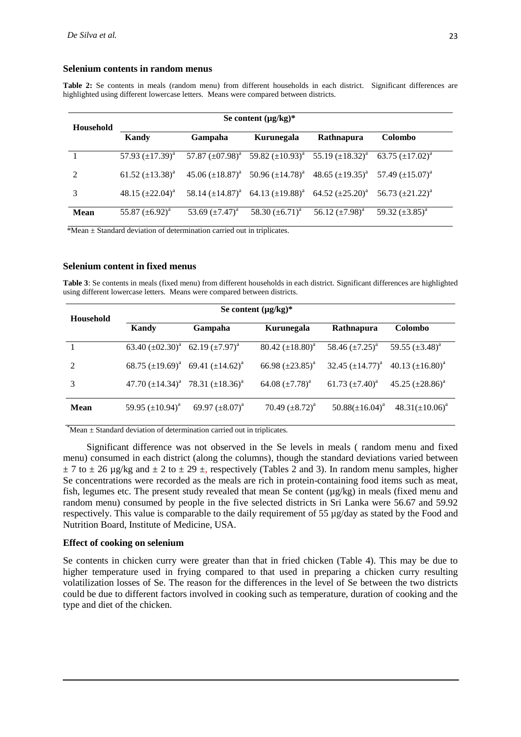#### **Selenium contents in random menus**

**Table 2:** Se contents in meals (random menu) from different households in each district. Significant differences are highlighted using different lowercase letters. Means were compared between districts.

| <b>Household</b> | Se content $(\mu g/kg)^*$ |                                                                                                                                                                      |                      |                                                                                                                                     |                      |
|------------------|---------------------------|----------------------------------------------------------------------------------------------------------------------------------------------------------------------|----------------------|-------------------------------------------------------------------------------------------------------------------------------------|----------------------|
|                  | Kandy                     | Gampaha                                                                                                                                                              | Kurunegala           | Rathnapura                                                                                                                          | <b>Colombo</b>       |
|                  |                           | 57.93 $(\pm 17.39)^a$ 57.87 $(\pm 07.98)^a$ 59.82 $(\pm 10.93)^a$ 55.19 $(\pm 18.32)^a$ 63.75 $(\pm 17.02)^a$                                                        |                      |                                                                                                                                     |                      |
| $\mathcal{L}$    | 61.52 $(\pm 13.38)^a$     |                                                                                                                                                                      |                      | $45.06 \left(\pm 18.87\right)^a$ 50.96 $\left(\pm 14.78\right)^a$ 48.65 $\left(\pm 19.35\right)^a$ 57.49 $\left(\pm 15.07\right)^a$ |                      |
|                  |                           | $48.15 \left(\pm 22.04\right)^a$ 58.14 $\left(\pm 14.87\right)^a$ 64.13 $\left(\pm 19.88\right)^a$ 64.52 $\left(\pm 25.20\right)^a$ 56.73 $\left(\pm 21.22\right)^a$ |                      |                                                                                                                                     |                      |
| <b>Mean</b>      | 55.87 $(\pm 6.92)^a$      | 53.69 $(\pm 7.47)^a$                                                                                                                                                 | 58.30 $(\pm 6.71)^a$ | 56.12 $(\pm 7.98)^a$                                                                                                                | 59.32 $(\pm 3.85)^a$ |

\*Mean ± Standard deviation of determination carried out in triplicates.

#### **Selenium content in fixed menus**

**Table 3**: Se contents in meals (fixed menu) from different households in each district. Significant differences are highlighted using different lowercase letters. Means were compared between districts.

| Household     | Se content $(\mu g/kg)^*$                   |                                             |                       |                       |                       |
|---------------|---------------------------------------------|---------------------------------------------|-----------------------|-----------------------|-----------------------|
|               | Kandy                                       | Gampaha                                     | Kurunegala            | <b>Rathnapura</b>     | <b>Colombo</b>        |
|               | 63.40 $(\pm 02.30)^a$ 62.19 $(\pm 7.97)^a$  |                                             | 80.42 $(\pm 18.80)^a$ | 58.46 $(\pm 7.25)^a$  | 59.55 $(\pm 3.48)^a$  |
| $\mathcal{L}$ |                                             | 68.75 $(\pm 19.69)^a$ 69.41 $(\pm 14.62)^a$ | 66.98 $(\pm 23.85)^a$ | 32.45 $(\pm 14.77)^a$ | 40.13 $(\pm 16.80)^a$ |
| 3             | 47.70 $(\pm 14.34)^a$ 78.31 $(\pm 18.36)^a$ |                                             | 64.08 $(\pm 7.78)^a$  | 61.73 $(\pm 7.40)^a$  | 45.25 $(\pm 28.86)^a$ |
| Mean          | 59.95 $(\pm 10.94)^a$                       | 69.97 $(\pm 8.07)^a$                        | 70.49 $(\pm 8.72)^a$  | $50.88(\pm 16.04)^a$  | $48.31(\pm 10.06)^a$  |

 $*$ Mean  $\pm$  Standard deviation of determination carried out in triplicates.

Significant difference was not observed in the Se levels in meals ( random menu and fixed menu) consumed in each district (along the columns), though the standard deviations varied between  $\pm$  7 to  $\pm$  26 µg/kg and  $\pm$  2 to  $\pm$  29  $\pm$ , respectively (Tables 2 and 3). In random menu samples, higher Se concentrations were recorded as the meals are rich in protein-containing food items such as meat, fish, legumes etc. The present study revealed that mean Se content (µg/kg) in meals (fixed menu and random menu) consumed by people in the five selected districts in Sri Lanka were 56.67 and 59.92 respectively. This value is comparable to the daily requirement of 55 µg/day as stated by the Food and Nutrition Board, Institute of Medicine, USA.

#### **Effect of cooking on selenium**

Se contents in chicken curry were greater than that in fried chicken (Table 4). This may be due to higher temperature used in frying compared to that used in preparing a chicken curry resulting volatilization losses of Se. The reason for the differences in the level of Se between the two districts could be due to different factors involved in cooking such as temperature, duration of cooking and the type and diet of the chicken.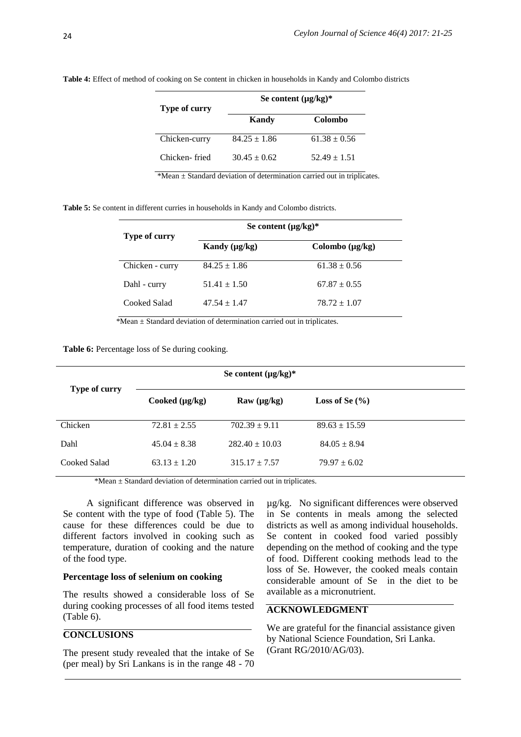| Type of curry | Se content $(\mu g/kg)^*$                                                   |                  |  |
|---------------|-----------------------------------------------------------------------------|------------------|--|
|               | Kandy                                                                       | Colombo          |  |
| Chicken-curry | $84.25 \pm 1.86$                                                            | $61.38 \pm 0.56$ |  |
| Chicken-fried | $30.45 + 0.62$                                                              | $52.49 \pm 1.51$ |  |
|               | $*Mean \pm Standard$ deviation of determination carried out in triplicates. |                  |  |

**Table 4:** Effect of method of cooking on Se content in chicken in households in Kandy and Colombo districts

**Table 5:** Se content in different curries in households in Kandy and Colombo districts.

| Type of curry   | Se content $(\mu g/kg)^*$ |                      |  |
|-----------------|---------------------------|----------------------|--|
|                 | Kandy $(\mu g/kg)$        | Colombo $(\mu g/kg)$ |  |
| Chicken - curry | $84.25 \pm 1.86$          | $61.38 \pm 0.56$     |  |
| Dahl - curry    | $51.41 \pm 1.50$          | $67.87 \pm 0.55$     |  |
| Cooked Salad    | $47.54 \pm 1.47$          | $78.72 \pm 1.07$     |  |
|                 |                           |                      |  |

\*Mean ± Standard deviation of determination carried out in triplicates.

**Table 6:** Percentage loss of Se during cooking.

|               |                     | Se content $(\mu g/kg)^*$     |                    |  |
|---------------|---------------------|-------------------------------|--------------------|--|
| Type of curry | Cooked $(\mu g/kg)$ | $\mathbf{R}$ aw ( $\mu$ g/kg) | Loss of Se $(\% )$ |  |
| Chicken       | $72.81 \pm 2.55$    | $702.39 \pm 9.11$             | $89.63 \pm 15.59$  |  |
| Dahl          | $45.04 \pm 8.38$    | $282.40 \pm 10.03$            | $84.05 \pm 8.94$   |  |
| Cooked Salad  | $63.13 \pm 1.20$    | $315.17 \pm 7.57$             | $79.97 \pm 6.02$   |  |

\*Mean ± Standard deviation of determination carried out in triplicates.

A significant difference was observed in Se content with the type of food (Table 5). The cause for these differences could be due to different factors involved in cooking such as temperature, duration of cooking and the nature of the food type.

#### **Percentage loss of selenium on cooking**

The results showed a considerable loss of Se during cooking processes of all food items tested (Table 6).

### **CONCLUSIONS**

The present study revealed that the intake of Se (per meal) by Sri Lankans is in the range 48 - 70

µg/kg. No significant differences were observed in Se contents in meals among the selected districts as well as among individual households. Se content in cooked food varied possibly depending on the method of cooking and the type of food. Different cooking methods lead to the loss of Se. However, the cooked meals contain considerable amount of Se in the diet to be available as a micronutrient.

### **ACKNOWLEDGMENT**

We are grateful for the financial assistance given by National Science Foundation, Sri Lanka. (Grant RG/2010/AG/03).